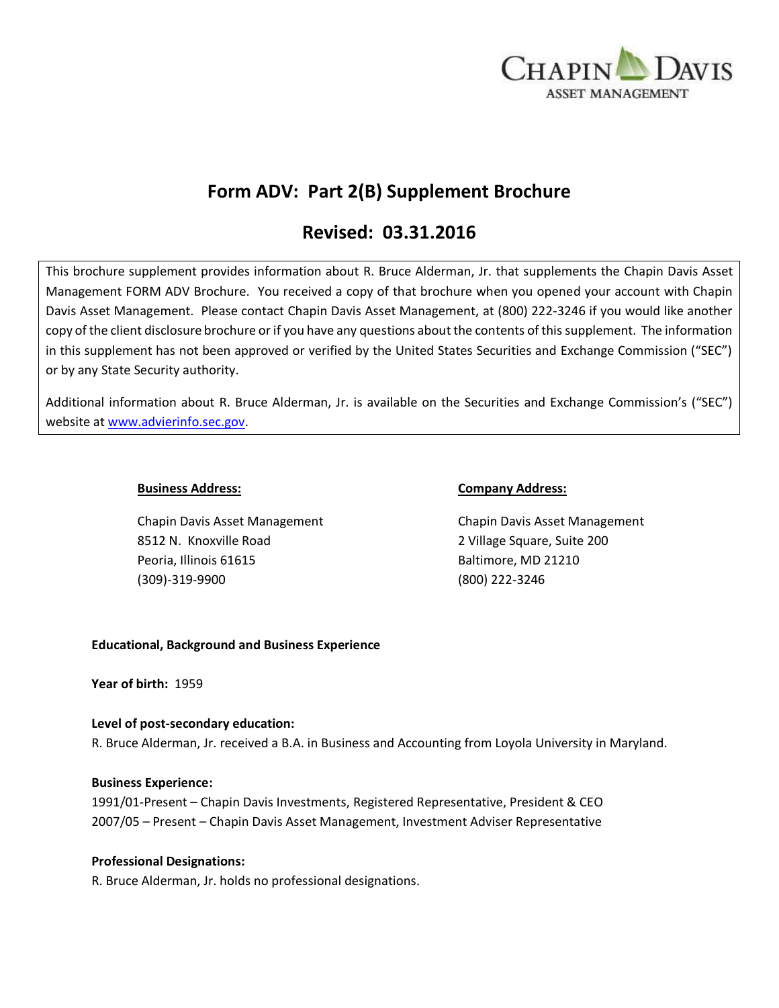

# **Form ADV: Part 2(B) Supplement Brochure**

# **Revised: 03.31.2016**

This brochure supplement provides information about R. Bruce Alderman, Jr. that supplements the Chapin Davis Asset Management FORM ADV Brochure. You received a copy of that brochure when you opened your account with Chapin Davis Asset Management. Please contact Chapin Davis Asset Management, at (800) 222-3246 if you would like another copy of the client disclosure brochure or if you have any questions about the contents of this supplement. The information in this supplement has not been approved or verified by the United States Securities and Exchange Commission ("SEC") or by any State Security authority.

Additional information about R. Bruce Alderman, Jr. is available on the Securities and Exchange Commission's ("SEC") website at [www.advierinfo.sec.gov.](http://www.advierinfo.sec.gov/)

8512 N. Knoxville Road 2 Village Square, Suite 200 Peoria, Illinois 61615 Baltimore, MD 21210 (309)-319-9900 (800) 222-3246

#### **Business Address: Company Address:**

Chapin Davis Asset Management Chapin Davis Asset Management

## **Educational, Background and Business Experience**

**Year of birth:** 1959

## **Level of post-secondary education:**

R. Bruce Alderman, Jr. received a B.A. in Business and Accounting from Loyola University in Maryland.

#### **Business Experience:**

1991/01-Present – Chapin Davis Investments, Registered Representative, President & CEO 2007/05 – Present – Chapin Davis Asset Management, Investment Adviser Representative

## **Professional Designations:**

R. Bruce Alderman, Jr. holds no professional designations.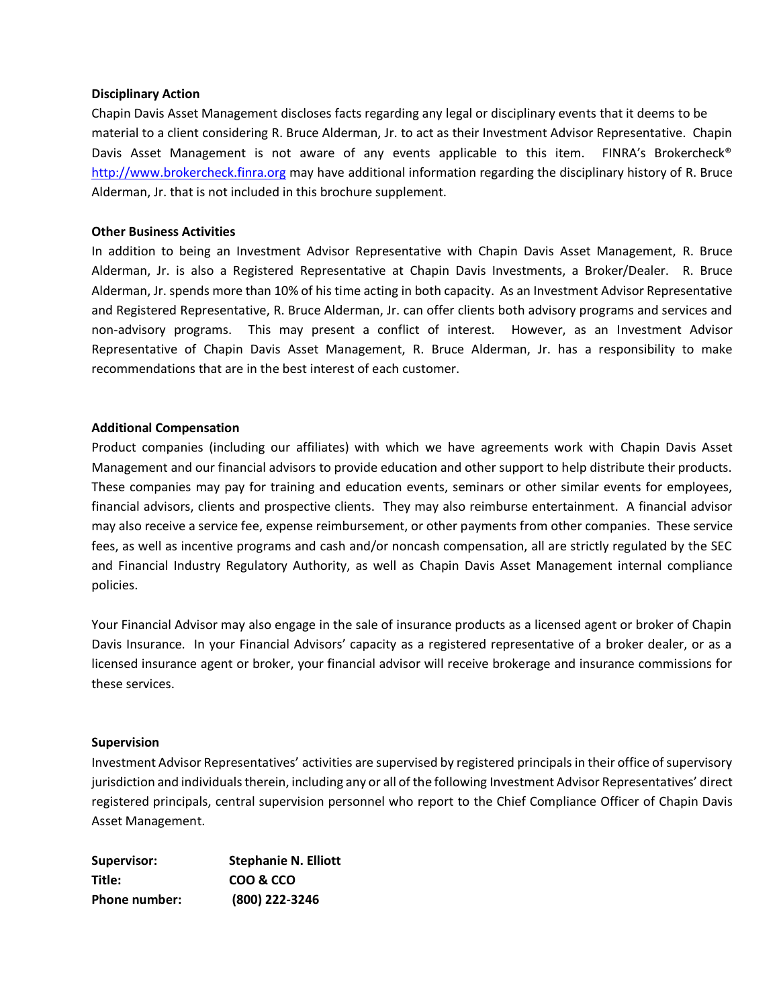#### **Disciplinary Action**

Chapin Davis Asset Management discloses facts regarding any legal or disciplinary events that it deems to be material to a client considering R. Bruce Alderman, Jr. to act as their Investment Advisor Representative. Chapin Davis Asset Management is not aware of any events applicable to this item. FINRA's Brokercheck<sup>®</sup> [http://www.brokercheck.finra.org](http://www.brokercheck.finra.org/) may have additional information regarding the disciplinary history of R. Bruce Alderman, Jr. that is not included in this brochure supplement.

#### **Other Business Activities**

In addition to being an Investment Advisor Representative with Chapin Davis Asset Management, R. Bruce Alderman, Jr. is also a Registered Representative at Chapin Davis Investments, a Broker/Dealer. R. Bruce Alderman, Jr. spends more than 10% of his time acting in both capacity. As an Investment Advisor Representative and Registered Representative, R. Bruce Alderman, Jr. can offer clients both advisory programs and services and non-advisory programs. This may present a conflict of interest. However, as an Investment Advisor Representative of Chapin Davis Asset Management, R. Bruce Alderman, Jr. has a responsibility to make recommendations that are in the best interest of each customer.

## **Additional Compensation**

Product companies (including our affiliates) with which we have agreements work with Chapin Davis Asset Management and our financial advisors to provide education and other support to help distribute their products. These companies may pay for training and education events, seminars or other similar events for employees, financial advisors, clients and prospective clients. They may also reimburse entertainment. A financial advisor may also receive a service fee, expense reimbursement, or other payments from other companies. These service fees, as well as incentive programs and cash and/or noncash compensation, all are strictly regulated by the SEC and Financial Industry Regulatory Authority, as well as Chapin Davis Asset Management internal compliance policies.

Your Financial Advisor may also engage in the sale of insurance products as a licensed agent or broker of Chapin Davis Insurance. In your Financial Advisors' capacity as a registered representative of a broker dealer, or as a licensed insurance agent or broker, your financial advisor will receive brokerage and insurance commissions for these services.

#### **Supervision**

Investment Advisor Representatives' activities are supervised by registered principals in their office of supervisory jurisdiction and individuals therein, including any or all of the following Investment Advisor Representatives' direct registered principals, central supervision personnel who report to the Chief Compliance Officer of Chapin Davis Asset Management.

| Supervisor:   | <b>Stephanie N. Elliott</b> |
|---------------|-----------------------------|
| Title:        | COO & CCO                   |
| Phone number: | (800) 222-3246              |